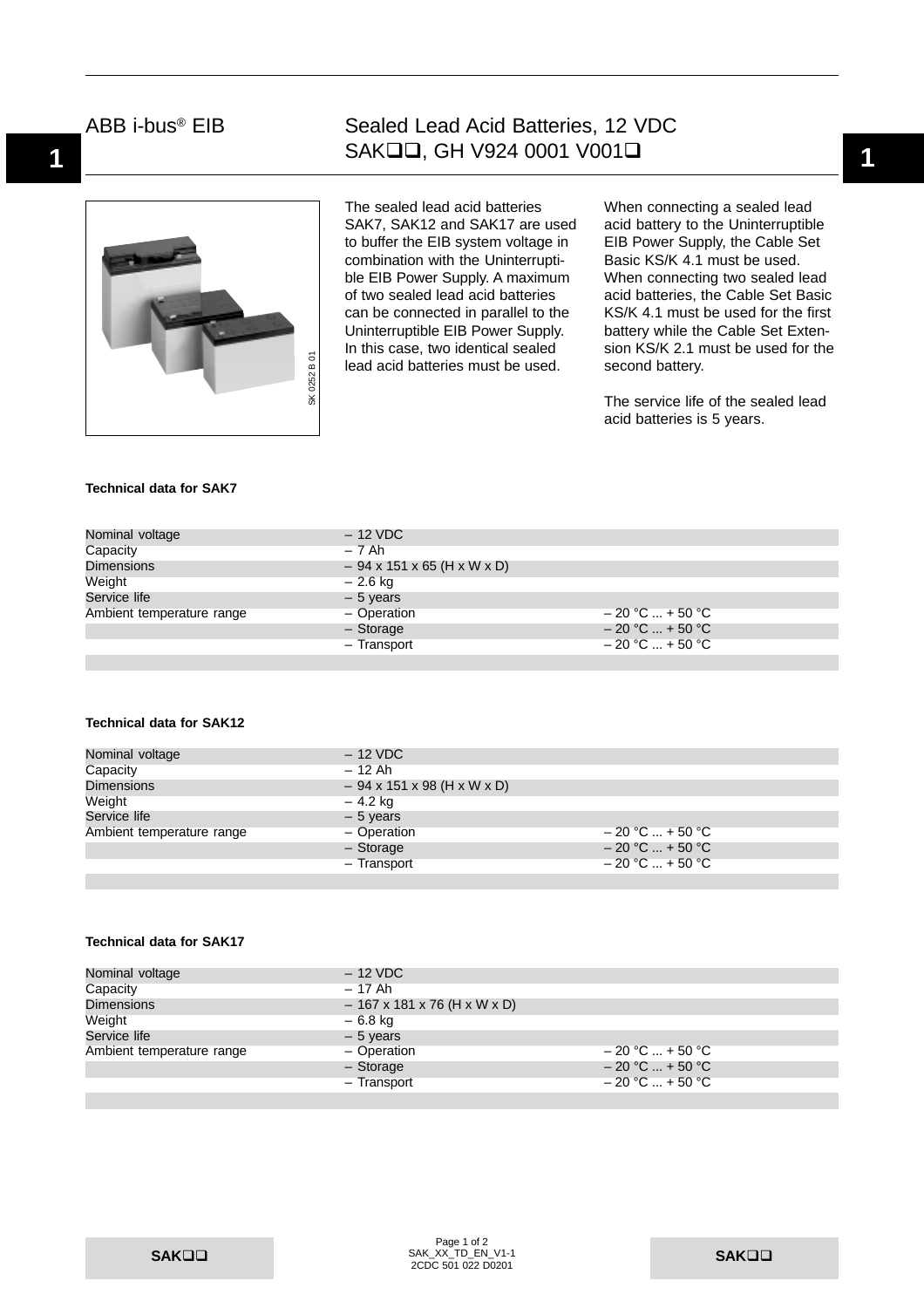# ABB i-bus® EIB



# **1 1** SAK, GH V924 0001 V001 Sealed Lead Acid Batteries, 12 VDC

The sealed lead acid batteries SAK7, SAK12 and SAK17 are used to buffer the EIB system voltage in combination with the Uninterruptible EIB Power Supply. A maximum of two sealed lead acid batteries can be connected in parallel to the Uninterruptible EIB Power Supply. In this case, two identical sealed lead acid batteries must be used.

When connecting a sealed lead acid battery to the Uninterruptible EIB Power Supply, the Cable Set Basic KS/K 4.1 must be used. When connecting two sealed lead acid batteries, the Cable Set Basic KS/K 4.1 must be used for the first battery while the Cable Set Extension KS/K 2.1 must be used for the second battery.

The service life of the sealed lead acid batteries is 5 years.

#### **Technical data for SAK7**

| Nominal voltage           | $-12$ VDC                              |                   |
|---------------------------|----------------------------------------|-------------------|
| Capacity                  | – 7 Ah                                 |                   |
| <b>Dimensions</b>         | $-94 \times 151 \times 65$ (H x W x D) |                   |
| Weight                    | – 2.6 kg                               |                   |
| Service life              | $-5$ years                             |                   |
| Ambient temperature range | - Operation                            | $-20$ °C  + 50 °C |
|                           | $-$ Storage                            | $-20 °C  + 50 °C$ |
|                           | - Transport                            | $-20$ °C  + 50 °C |

## **Technical data for SAK12**

| Nominal voltage           | $-12$ VDC                              |                   |
|---------------------------|----------------------------------------|-------------------|
| Capacity                  | - 12 Ah                                |                   |
| <b>Dimensions</b>         | $-94 \times 151 \times 98$ (H x W x D) |                   |
| Weight                    | – 4.2 kg                               |                   |
| Service life              | $-5$ years                             |                   |
| Ambient temperature range | - Operation                            | $-20$ °C  + 50 °C |
|                           | $-$ Storage                            | $-20 °C  + 50 °C$ |
|                           | - Transport                            | $-20 °C  + 50 °C$ |

## **Technical data for SAK17**

| Nominal voltage           | $-12$ VDC                     |                   |
|---------------------------|-------------------------------|-------------------|
| Capacity                  | – 17 Ah                       |                   |
| <b>Dimensions</b>         | $-167$ x 181 x 76 (H x W x D) |                   |
| Weight                    | – 6.8 kg                      |                   |
| Service life              | $-5$ years                    |                   |
| Ambient temperature range | - Operation                   | $-20$ °C  + 50 °C |
|                           | $-$ Storage                   | $-20 °C  + 50 °C$ |
|                           | - Transport                   | $-20 °C  + 50 °C$ |
|                           |                               |                   |